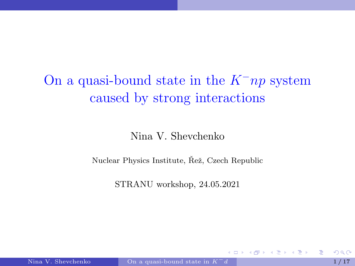# <span id="page-0-0"></span>On a quasi-bound state in the  $K^-np$  system caused by strong interactions

## Nina V. Shevchenko

Nuclear Physics Institute, Řež, Czech Republic

STRANU workshop, 24.05.2021

4 0 8

 $\rightarrow$   $\pm$   $\rightarrow$ 

E K.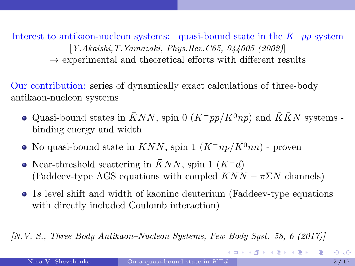Interest to antikaon-nucleon systems: quasi-bound state in the  $K^-pp$  system [Y.Akaishi,T.Yamazaki, Phys.Rev.C65, 044005 (2002)]  $\rightarrow$  experimental and theoretical efforts with different results

Our contribution: series of dynamically exact calculations of three-body antikaon-nucleon systems

- $\bullet$  Quasi-bound states in  $\bar{K}NN$ , spin 0 (K<sup>−</sup>pp/K<sup>o</sup>np) and  $\bar{K}\bar{K}N$  systems binding energy and width
- No quasi-bound state in  $\bar{K}NN$ , spin 1  $(K^-np/\bar{K^0}nn)$  proven
- Near-threshold scattering in KNN, spin 1  $(K^-d)$ (Faddeev-type AGS equations with coupled  $\overline{K}NN - \pi \Sigma N$  channels)
- 1s level shift and width of kaoninc deuterium (Faddeev-type equations with directly included Coulomb interaction)

[N.V. S., Three-Body Antikaon–Nucleon Systems, Few Body Syst. 58, 6 (2017)]

**KORK GRANDER ABY DE YORN**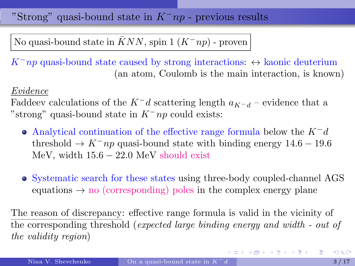<span id="page-2-0"></span>"Strong" quasi-bound state in  $K^-np$  - previous results

No quasi-bound state in  $\bar{K}NN$ , spin 1  $(K^-np)$  - proven

 $K^-np$  quasi-bound state caused by strong interactions:  $\leftrightarrow$  kaonic deuterium (an atom, Coulomb is the main interaction, is known)

#### Evidence

Faddeev calculations of the  $K^-d$  scattering length  $a_{K-d}$  – evidence that a "strong" quasi-bound state in  $K^-np$  could exists:

- Analytical continuation of the effective range formula below the  $K^-d$ threshold  $\rightarrow$  K<sup>-</sup>np quasi-bound state with binding energy 14.6 – 19.6 MeV, width  $15.6 - 22.0$  MeV should exist
- Systematic search for these states using three-body coupled-channel AGS equations  $\rightarrow$  no (corresponding) poles in the complex energy plane

The reason of discrepancy: effective range formula is valid in the vicinity of the corresponding threshold (expected large binding energy and width - out of the validity region)

イロメ イ団 メイモメ イモメー 老人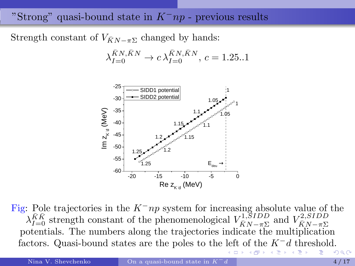## <span id="page-3-0"></span>"Strong" quasi-bound state in  $K^-np$  - previous results

Strength constant of  $V_{\bar{K}N-\pi\Sigma}$  changed by hands:

$$
\lambda_{I=0}^{\bar{K}N,\bar{K}N} \to c \lambda_{I=0}^{\bar{K}N,\bar{K}N}, c = 1.25..1
$$



Fig: Pole trajectories in the  $K^-np$  system for increasing absolute value of the  $\lambda_{I=0}^{\bar{K}\bar{K}}$  strength constant of the phenomenological  $V_{\bar{K}N-\pi\Sigma}^{1, SIDD}$  and  $V_{\bar{K}N-\pi\Sigma}^{2, SIDD}$ potentials. The numbers along the trajectories indicate the multiplication factors. Quasi-bound states are the poles to the [lef](#page-2-0)[t o](#page-4-0)[f](#page-2-0) [th](#page-3-0)[e](#page-4-0)  $K^-d$  $K^-d$  $K^-d$  [t](#page-0-0)[hre](#page-16-0)[sh](#page-0-0)[old](#page-16-0).

→●

 $\leftarrow$   $\Box$ .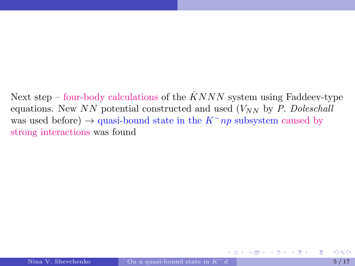<span id="page-4-0"></span>Next step – four-body calculations of the  $KNNN$  system using Faddeev-type equations. New NN potential constructed and used  $(V_{NN}$  by P. Doleschall was used before)  $\rightarrow$  quasi-bound state in the  $K^-np$  subsystem caused by strong interactions was found

イロト イ押ト イヨト イヨト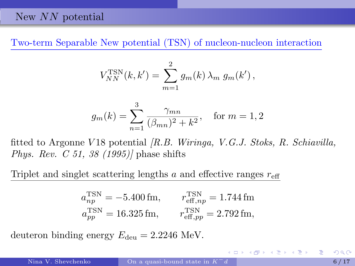#### New N<sub>N</sub> potential

Two-term Separable New potential (TSN) of nucleon-nucleon interaction

$$
V_{NN}^{TSN}(k, k') = \sum_{m=1}^{2} g_m(k) \lambda_m g_m(k'),
$$

$$
g_m(k) = \sum_{n=1}^{3} \frac{\gamma_{mn}}{(\beta_{mn})^2 + k^2}, \quad \text{for } m = 1, 2
$$

fitted to Argonne V 18 potential [R.B. Wiringa, V.G.J. Stoks, R. Schiavilla, Phys. Rev. C 51, 38 (1995)] phase shifts

Triplet and singlet scattering lengths a and effective ranges  $r_{\text{eff}}$ 

$$
a_{np}^{\text{TSN}} = -5.400 \,\text{fm}, \qquad r_{\text{eff},np}^{\text{TSN}} = 1.744 \,\text{fm}
$$
  

$$
a_{pp}^{\text{TSN}} = 16.325 \,\text{fm}, \qquad r_{\text{eff},pp}^{\text{TSN}} = 2.792 \,\text{fm},
$$

deuteron binding energy  $E_{\text{deu}} = 2.2246 \text{ MeV}.$ 

4 ロ ) - 4 @ ) - 4 ミ ) - 4 ミ ) - 2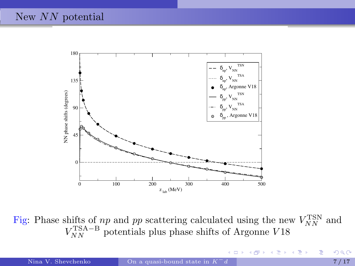

Fig: Phase shifts of  $np$  and  $pp$  scattering calculated using the new  $V_{NN}^{\rm TSN}$  and  $V_{NN}^{\text{TSA}-\text{B}}$  potentials plus phase shifts of Argonne V18

4 0 8

頂き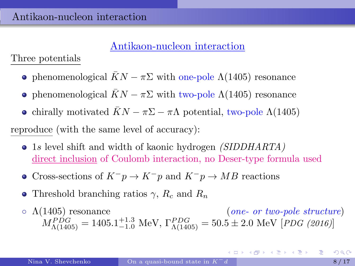## Antikaon-nucleon interaction

Three potentials

- phenomenological  $\bar{K}N \pi \Sigma$  with one-pole  $\Lambda(1405)$  resonance
- phenomenological  $KN \pi \Sigma$  with two-pole  $\Lambda(1405)$  resonance
- chirally motivated  $KN \pi \Sigma \pi \Lambda$  potential, two-pole  $\Lambda(1405)$

reproduce (with the same level of accuracy):

- 1s level shift and width of kaonic hydrogen *(SIDDHARTA)* direct inclusion of Coulomb interaction, no Deser-type formula used
- Cross-sections of  $K^-p \to K^-p$  and  $K^-p \to MB$  reactions
- Threshold branching ratios  $\gamma$ ,  $R_c$  and  $R_n$
- $\circ \Lambda(1405)$  resonance  $(ne- or two-pole structure)$  $M_{\Lambda(1405)}^{PDG} = 1405.1_{-1.0}^{+1.3} \text{ MeV}, \Gamma_{\Lambda(1405)}^{PDG} = 50.5 \pm 2.0 \text{ MeV} [PDG (2016)]$

イロト イ団 トイミト イミト ニミー つんぴ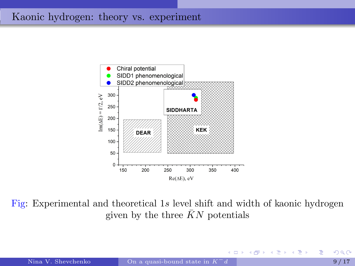## Kaonic hydrogen: theory vs. experiment



Fig: Experimental and theoretical 1s level shift and width of kaonic hydrogen given by the three  $\bar{K}N$  potentials

4 0 8

重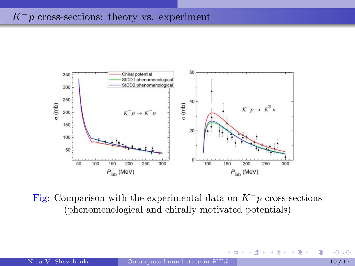# $K^-p$  cross-sections: theory vs. experiment



Fig: Comparison with the experimental data on  $K^-p$  cross-sections (phenomenological and chirally motivated potentials)

4 0 8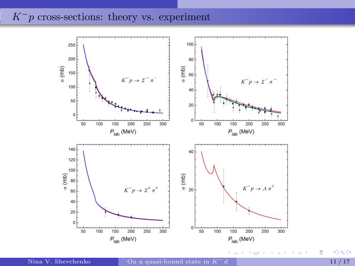## $K^-p$  cross-sections: theory vs. experiment



 $299$ 

重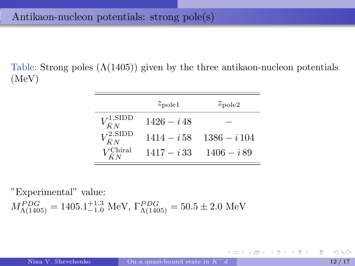Table: Strong poles  $(\Lambda(1405))$  given by the three antikaon-nucleon potentials (MeV)

|                                | $z_{\text{pole}1}$ | $z_{\rm pole2}$ |
|--------------------------------|--------------------|-----------------|
| $V_{\bar{K}N}^{1,\rm SIDD}$    | $1426 - i48$       |                 |
| $V_{\bar{K}N}^{\text{2,SIDD}}$ | $1414 - i58$       | $1386 - i 104$  |
| $V_{\bar{K}N}^{\text{Chiral}}$ | $1417 - i33$       | $1406 - i89$    |

"Experimental" value:  $M_{\Lambda(1405)}^{PDG} = 1405.1_{-1.0}^{+1.3} \text{ MeV}, \Gamma_{\Lambda(1405)}^{PDG} = 50.5 \pm 2.0 \text{ MeV}$ 

K ロ ▶ K @ ▶ K 글 ▶ K 글 ▶ │ 글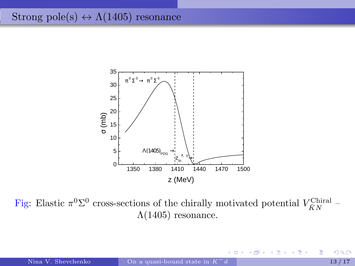# Strong pole(s)  $\leftrightarrow \Lambda(1405)$  resonance



Fig: Elastic  $\pi^0 \Sigma^0$  cross-sections of the chirally motivated potential  $V_{\bar{K}N}^{\text{Chiral}}$  –  $Λ(1405)$  resonance.

 $\leftarrow$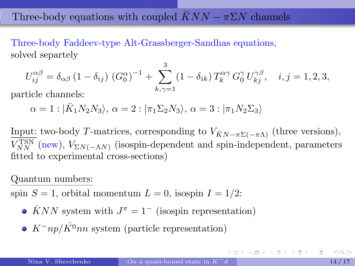# Three-body equations with coupled  $\bar{K}NN - \pi \Sigma N$  channels

Three-body Faddeev-type Alt-Grassberger-Sandhas equations, solved separtely

$$
U_{ij}^{\alpha\beta} = \delta_{\alpha\beta} (1 - \delta_{ij}) (G_0^{\alpha})^{-1} + \sum_{k,\gamma=1}^{3} (1 - \delta_{ik}) T_k^{\alpha\gamma} G_0^{\gamma} U_{kj}^{\gamma\beta}, \quad i, j = 1, 2, 3,
$$

particle channels:

 $\alpha = 1 : |\bar{K}_1 N_2 N_3\rangle, \, \alpha = 2 : |\pi_1 \Sigma_2 N_3\rangle, \, \alpha = 3 : |\pi_1 N_2 \Sigma_3\rangle$ 

Input: two-body T-matrices, corresponding to  $V_{\bar{K}N-\pi\Sigma(-\pi\Lambda)}$  (three versions),  $V_{NN}^{\text{TSN}}$  (new),  $V_{\Sigma N(-\Lambda N)}$  (isospin-dependent and spin-independent, parameters fitted to experimental cross-sections)

#### Quantum numbers:

spin  $S = 1$ , orbital momentum  $L = 0$ , isospin  $I = 1/2$ :

- $\bar{K}NN$  system with  $J^{\pi} = 1^{-}$  (isospin representation)
- $K^-np/\bar{K^0}nn$  system (particle representation)

KOLK KØLK VELKELLEN DA O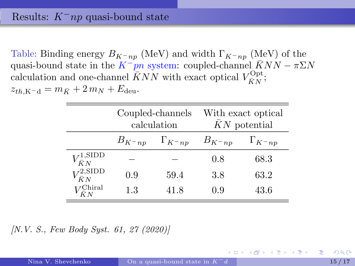## Results:  $K^-np$  quasi-bound state

Table: Binding energy  $B_{K^-\,np}$  (MeV) and width  $\Gamma_{K^-\,np}$  (MeV) of the quasi-bound state in the  $K^-pn$  system: coupled-channel  $KNN - \pi \Sigma N$ calculation and one-channel  $\bar{K}NN$  with exact optical  $V_{\bar{K}N}^{\text{Opt}}$ ;  $z_{th,K-d} = m_{\bar{K}} + 2 m_N + E_{\text{deu}}.$ 

|                                | Coupled-channels<br>calculation |                    | With exact optical<br>$\bar{K}N$ potential |                    |
|--------------------------------|---------------------------------|--------------------|--------------------------------------------|--------------------|
|                                | $B_{K^{-}np}$                   | $\Gamma_{K^{-}np}$ | $B_{K^{-}np}$                              | $\Gamma_{K^{-}np}$ |
| $V_{\bar{K}N}^{1,\rm SIDD}$    |                                 |                    | 0.8                                        | 68.3               |
| $V_{\bar{K}N}^{\text{2,SIDD}}$ | 0.9                             | 59.4               | 3.8                                        | 63.2               |
| $V_{\bar{K}N}^{\text{Chiral}}$ | 1.3                             | 41.8               | 0.9                                        | 43.6               |

[N.V. S., Few Body Syst. 61, 27 (2020)]

K ロ ▶ K 御 ▶ K ヨ ▶ K ヨ ▶ ...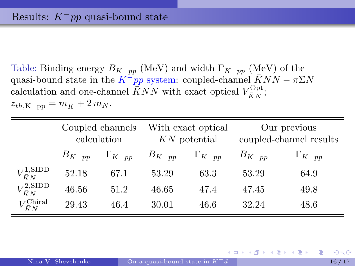Table: Binding energy  $B_{K^-pp}$  (MeV) and width  $\Gamma_{K^-pp}$  (MeV) of the quasi-bound state in the  $K^-pp$  system: coupled-channel  $\bar{K}NN - \pi \Sigma N$ calculation and one-channel  $\bar{K}NN$  with exact optical  $V_{\bar{K}N}^{\text{Opt}}$ ;  $z_{th,K^-pp} = m_{\bar{K}} + 2 m_N.$ 

|                                | Coupled channels<br>calculation |                  | With exact optical<br>$\bar{K}N$ potential |      | Our previous<br>coupled-channel results |                   |
|--------------------------------|---------------------------------|------------------|--------------------------------------------|------|-----------------------------------------|-------------------|
|                                | $B_{K^-pp}$                     | $\Gamma_{K^-pp}$ | $B_{K^-pp}$ $\Gamma_{K^-pp}$               |      | $B_{K^-pp}$                             | $\Gamma_{K^- pp}$ |
| $V_{\bar{K}N}^{1,\text{SIDD}}$ | 52.18                           | 67.1             | 53.29                                      | 63.3 | 53.29                                   | 64.9              |
| $V_{\bar{K}N}^{\text{2,SIDD}}$ | 46.56                           | 51.2             | 46.65                                      | 47.4 | 47.45                                   | 49.8              |
| $V_{\bar{K}N}^{\text{Chiral}}$ | 29.43                           | 46.4             | 30.01                                      | 46.6 | 32.24                                   | 48.6              |

K ロ ▶ K 御 ▶ K ヨ ▶ K ヨ ▶ ...